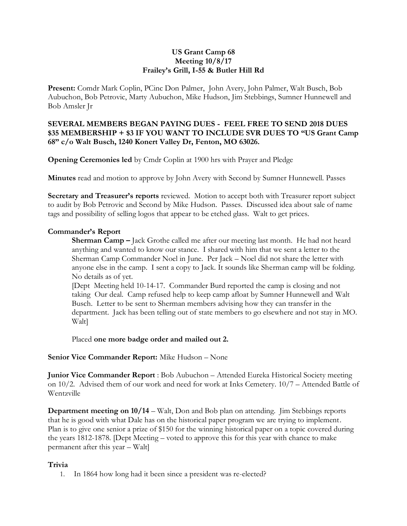#### **US Grant Camp 68 Meeting 10/8/17 Frailey's Grill, I-55 & Butler Hill Rd**

**Present:** Comdr Mark Coplin, PCinc Don Palmer, John Avery, John Palmer, Walt Busch, Bob Aubuchon, Bob Petrovic, Marty Aubuchon, Mike Hudson, Jim Stebbings, Sumner Hunnewell and Bob Amsler Jr

# **SEVERAL MEMBERS BEGAN PAYING DUES - FEEL FREE TO SEND 2018 DUES \$35 MEMBERSHIP + \$3 IF YOU WANT TO INCLUDE SVR DUES TO "US Grant Camp 68" c/o Walt Busch, 1240 Konert Valley Dr, Fenton, MO 63026.**

**Opening Ceremonies led** by Cmdr Coplin at 1900 hrs with Prayer and Pledge

**Minutes** read and motion to approve by John Avery with Second by Sumner Hunnewell. Passes

**Secretary and Treasurer's reports** reviewed. Motion to accept both with Treasurer report subject to audit by Bob Petrovic and Second by Mike Hudson. Passes. Discussed idea about sale of name tags and possibility of selling logos that appear to be etched glass. Walt to get prices.

# **Commander's Report**

**Sherman Camp –** Jack Grothe called me after our meeting last month. He had not heard anything and wanted to know our stance. I shared with him that we sent a letter to the Sherman Camp Commander Noel in June. Per Jack – Noel did not share the letter with anyone else in the camp. I sent a copy to Jack. It sounds like Sherman camp will be folding. No details as of yet.

[Dept Meeting held 10-14-17. Commander Burd reported the camp is closing and not taking Our deal. Camp refused help to keep camp afloat by Sumner Hunnewell and Walt Busch. Letter to be sent to Sherman members advising how they can transfer in the department. Jack has been telling out of state members to go elsewhere and not stay in MO. Walt]

Placed **one more badge order and mailed out 2.**

### **Senior Vice Commander Report:** Mike Hudson – None

**Junior Vice Commander Report** : Bob Aubuchon – Attended Eureka Historical Society meeting on 10/2. Advised them of our work and need for work at Inks Cemetery. 10/7 – Attended Battle of Wentzville

**Department meeting on 10/14** – Walt, Don and Bob plan on attending. Jim Stebbings reports that he is good with what Dale has on the historical paper program we are trying to implement. Plan is to give one senior a prize of \$150 for the winning historical paper on a topic covered during the years 1812-1878. [Dept Meeting – voted to approve this for this year with chance to make permanent after this year – Walt]

### **Trivia**

1. In 1864 how long had it been since a president was re-elected?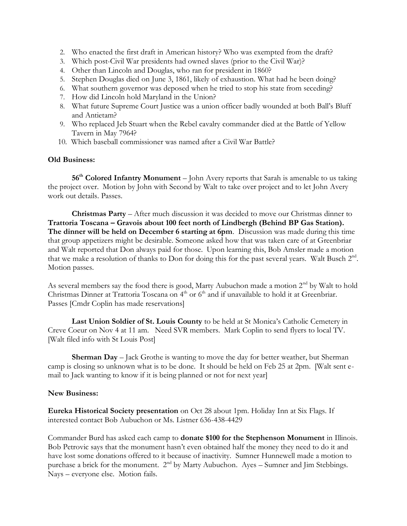- 2. Who enacted the first draft in American history? Who was exempted from the draft?
- 3. Which post-Civil War presidents had owned slaves (prior to the Civil War)?
- 4. Other than Lincoln and Douglas, who ran for president in 1860?
- 5. Stephen Douglas died on June 3, 1861, likely of exhaustion. What had he been doing?
- 6. What southern governor was deposed when he tried to stop his state from seceding?
- 7. How did Lincoln hold Maryland in the Union?
- 8. What future Supreme Court Justice was a union officer badly wounded at both Ball's Bluff and Antietam?
- 9. Who replaced Jeb Stuart when the Rebel cavalry commander died at the Battle of Yellow Tavern in May 7964?
- 10. Which baseball commissioner was named after a Civil War Battle?

### **Old Business:**

**56th Colored Infantry Monument** – John Avery reports that Sarah is amenable to us taking the project over. Motion by John with Second by Walt to take over project and to let John Avery work out details. Passes.

**Christmas Party** – After much discussion it was decided to move our Christmas dinner to **Trattoria Toscana – Gravois about 100 feet north of Lindbergh (Behind BP Gas Station). The dinner will be held on December 6 starting at 6pm**. Discussion was made during this time that group appetizers might be desirable. Someone asked how that was taken care of at Greenbriar and Walt reported that Don always paid for those. Upon learning this, Bob Amsler made a motion that we make a resolution of thanks to Don for doing this for the past several years. Walt Busch  $2<sup>nd</sup>$ . Motion passes.

As several members say the food there is good, Marty Aubuchon made a motion  $2<sup>nd</sup>$  by Walt to hold Christmas Dinner at Trattoria Toscana on 4<sup>th</sup> or 6<sup>th</sup> and if unavailable to hold it at Greenbriar. Passes [Cmdr Coplin has made reservations]

**Last Union Soldier of St. Louis County** to be held at St Monica's Catholic Cemetery in Creve Coeur on Nov 4 at 11 am. Need SVR members. Mark Coplin to send flyers to local TV. [Walt filed info with St Louis Post]

**Sherman Day** – Jack Grothe is wanting to move the day for better weather, but Sherman camp is closing so unknown what is to be done. It should be held on Feb 25 at 2pm. [Walt sent email to Jack wanting to know if it is being planned or not for next year]

### **New Business:**

**Eureka Historical Society presentation** on Oct 28 about 1pm. Holiday Inn at Six Flags. If interested contact Bob Aubuchon or Ms. Listner 636-438-4429

Commander Burd has asked each camp to **donate \$100 for the Stephenson Monument** in Illinois. Bob Petrovic says that the monument hasn't even obtained half the money they need to do it and have lost some donations offered to it because of inactivity. Sumner Hunnewell made a motion to purchase a brick for the monument. 2<sup>nd</sup> by Marty Aubuchon. Ayes – Sumner and Jim Stebbings. Nays – everyone else. Motion fails.